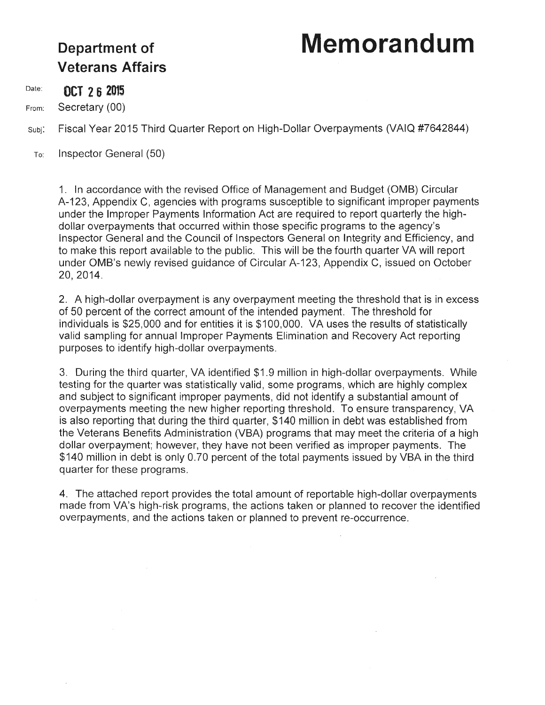## **Department of Memorandum**

# **Veterans Affairs**

Date: **OCT 2 6 2015** 

From: Secretary (00)

Fiscal Year 2015 Third Quarter Report on High-Dollar Overpayments (VAIQ #7642844) Subj:

To: Inspector General (50)

> 1. In accordance with the revised Office of Management and Budget (OMB) Circular A-123, Appendix C, agencies with programs susceptible to significant improper payments under the Improper Payments Information Act are required to report quarterly the highdollar overpayments that occurred within those specific programs to the agency's Inspector General and the Council of Inspectors General on Integrity and Efficiency, and to make this report available to the public. This will be the fourth quarter VA will report under OMB's newly revised guidance of Circular A-123, Appendix C, issued on October 20, 2014.

> 2. A high-dollar overpayment is any overpayment meeting the threshold that is in excess of 50 percent of the correct amount of the intended payment. The threshold for individuals is \$25,000 and for entities it is \$100,000. VA uses the results of statistically valid sampling for annual Improper Payments Elimination and Recovery Act reporting purposes to identify high-dollar overpayments.

> 3. During the third quarter, VA identified \$1.9 million in high-dollar overpayments. While testing for the quarter was statistically valid, some programs, which are highly complex and subject to significant improper payments, did not identify a substantial amount of overpayments meeting the new higher reporting threshold. To ensure transparency, VA is also reporting that during the third quarter, \$140 million in debt was established from the Veterans Benefits Administration (VBA) programs that may meet the criteria of a high dollar overpayment; however, they have not been verified as improper payments. The \$140 million in debt is only 0.70 percent of the total payments issued by VBA in the third quarter for these programs.

> 4. The attached report provides the total amount of reportable high-dollar overpayments made from VA's high-risk programs, the actions taken or planned to recover the identified overpayments, and the actions taken or planned to prevent re-occurrence.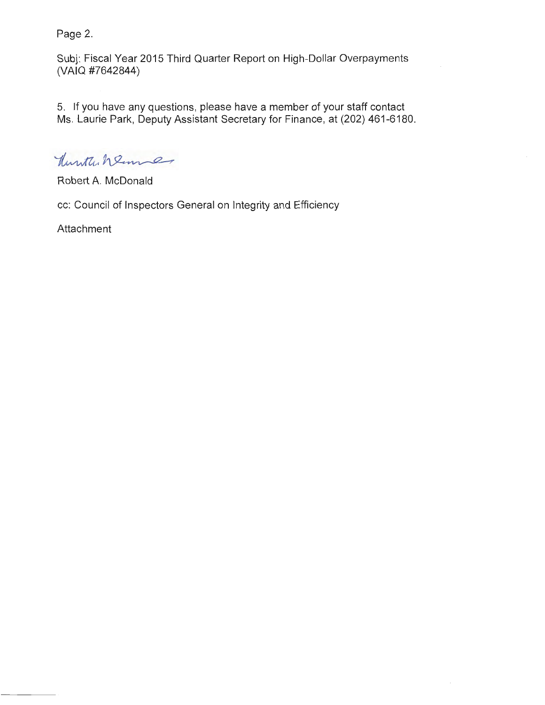Page 2.

Subj: Fiscal Year 2015 Third Quarter Report on High-Dollar Overpayments (VAIQ #7642844)

5. If you have any questions, please have a member of your staff contact Ms. Laurie Park, Deputy Assistant Secretary for Finance, at (202) 461-6180.

Hunter Wenney

Robert A. McDonald

cc: Council of Inspectors General on Integrity and Efficiency

Attachment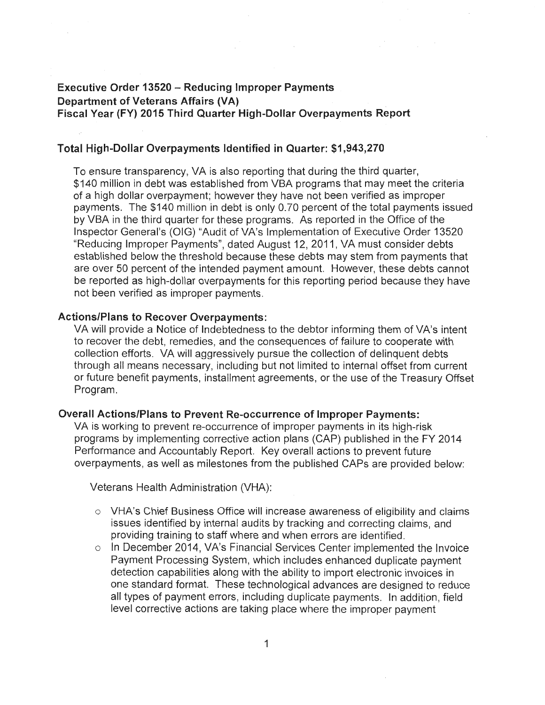### **Executive Order 13520 - Reducing Improper Payments Department of Veterans Affairs (VA) Fiscal Year (FY) 2015 Third Quarter High-Dollar Overpayments Report**

#### **Total High-Dollar Overpayments Identified in Quarter: \$1,943,270**

To ensure transparency, VA is also reporting that during the third quarter, \$140 million in debt was established from VBA programs that may meet the criteria of a high dollar overpayment; however they have not been verified as improper payments. The \$140 million in debt is only 0.70 percent of the total payments issued by VBA in the third quarter for these programs. As reported in the Office of the Inspector General's (OIG) "Audit of VA's Implementation of Executive Order 13520 "Reducing Improper Payments", dated August 12, 2011, VA must consider debts established below the threshold because these debts may stem from payments that are over 50 percent of the intended payment amount. However, these debts cannot be reported as high-dollar overpayments for this reporting period because they have not been verified as improper payments.

#### **Actions/Plans to Recover Overpayments:**

VA will provide a Notice of Indebtedness to the debtor informing them of VA's intent to recover the debt, remedies, and the consequences of failure to cooperate with collection efforts. VA will aggressively pursue the collection of delinquent debts through all means necessary, including but not limited to internal offset from current or future benefit payments, installment agreements, or the use of the Treasury Offset Program.

#### **Overall Actions/Plans to Prevent Re-occurrence of Improper Payments:**

VA is working to prevent re-occurrence of improper payments in its high-risk programs by implementing corrective action plans (CAP) published in the FY 2014 Performance and Accountably Report. Key overall actions to prevent future overpayments, as well as milestones from the published CAPs are provided below:

Veterans Health Administration (VHA):

- $\circ$  VHA's Chief Business Office will increase awareness of eligibility and claims issues identified by internal audits by tracking and correcting claims, and providing training to staff where and when errors are identified.
- o In December 2014, VA's Financial Services Center implemented the Invoice Payment Processing System, which includes enhanced duplicate payment detection capabilities along with the ability to import electronic invoices in one standard format. These technological advances are designed to reduce all types of payment errors, including duplicate payments. In addition, field level corrective actions are taking place where the improper payment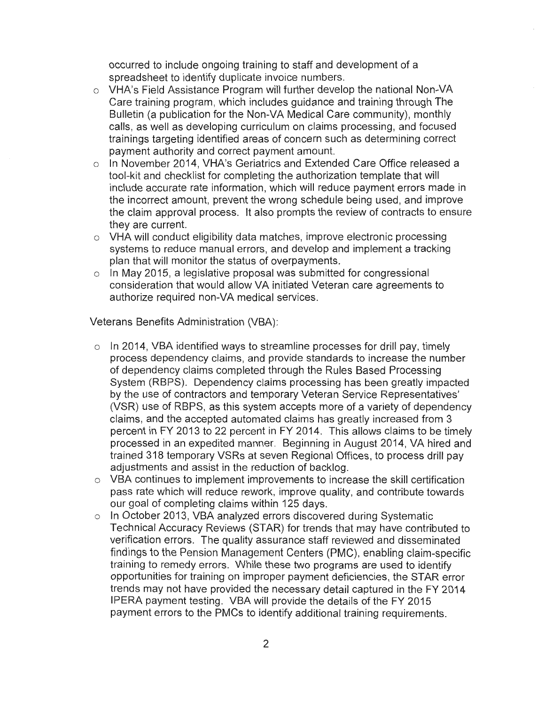occurred to include ongoing training to staff and development of a spreadsheet to identify duplicate invoice numbers.

- o VHA's Field Assistance Program will further develop the national Non-VA Care training program, which includes guidance and training through The Bulletin (a publication for the Non-VA Medical Care community), monthly calls, as well as developing curriculum on claims processing, and focused trainings targeting identified areas of concern such as determining correct payment authority and correct payment amount.
- o In November 2014, VHA's Geriatrics and Extended Care Office released a tool-kit and checklist for completing the authorization template that will include accurate rate information, which will reduce payment errors made in the incorrect amount, prevent the wrong schedule being used, and improve the claim approval process. It also prompts the review of contracts to ensure they are current.
- o VHA will conduct eligibility data matches, improve electronic processing systems to reduce manual errors, and develop and implement a tracking plan that will monitor the status of overpayments.
- $\circ$  In May 2015, a legislative proposal was submitted for congressional consideration that would allow VA initiated Veteran care agreements to authorize required non-VA medical services.

Veterans Benefits Administration (VBA):

- $\circ$  In 2014, VBA identified ways to streamline processes for drill pay, timely process dependency claims, and provide standards to increase the number of dependency claims completed through the Rules Based Processing System (RBPS). Dependency claims processing has been greatly impacted by the use of contractors and temporary Veteran Service Representatives' (VSR) use of RBPS, as this system accepts more of a variety of dependency claims, and the accepted automated claims has greatly increased from 3 percent in FY 2013 to 22 percent in FY 2014. This allows claims to be timely processed in an expedited manner. Beginning in August 2014, VA hired and trained 318 temporary VSRs at seven Regional Offices, to process drill pay adjustments and assist in the reduction of backlog.
- o VBA continues to implement improvements to increase the skill certification pass rate which will reduce rework, improve quality, and contribute towards our goal of completing claims within 125 days.
- o In October 2013, VBA analyzed errors discovered during Systematic Technical Accuracy Reviews (STAR) for trends that may have contributed to verification errors. The quality assurance staff reviewed and disseminated findings to the Pension Management Centers (PMC), enabling claim-specific training to remedy errors. While these two programs are used to identify opportunities for training on improper payment deficiencies, the STAR error trends may not have provided the necessary detail captured in the FY 2014 IPERA payment testing. VBA will provide the details of the FY 2015 payment errors to the PMCs to identify additional training requirements.